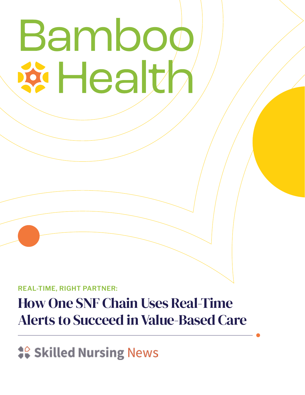# Bamboo **Eddar**

**REAL-TIME, RIGHT PARTNER:**

# How One SNF Chain Uses Real-Time Alerts to Succeed in Value-Based Care

**# Skilled Nursing News**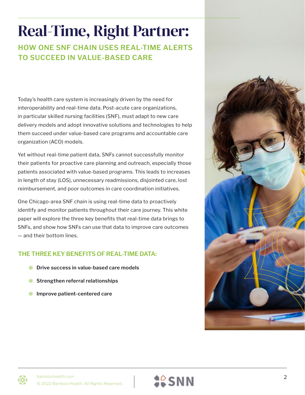# Real-Time, Right Partner:

**HOW ONE SNF CHAIN USES REAL-TIME ALERTS TO SUCCEED IN VALUE-BASED CARE**

Today's health care system is increasingly driven by the need for interoperability and real-time data. Post-acute care organizations, in particular skilled nursing facilities (SNF), must adapt to new care delivery models and adopt innovative solutions and technologies to help them succeed under value-based care programs and accountable care organization (ACO) models.

Yet without real-time patient data, SNFs cannot successfully monitor their patients for proactive care planning and outreach, especially those patients associated with value-based programs. This leads to increases in length of stay (LOS), unnecessary readmissions, disjointed care, lost reimbursement, and poor outcomes in care coordination initiatives.

One Chicago-area SNF chain is using real-time data to proactively identify and monitor patients throughout their care journey. This white paper will explore the three key benefits that real-time data brings to SNFs, and show how SNFs can use that data to improve care outcomes — and their bottom lines.

#### **THE THREE KEY BENEFITS OF REAL-TIME DATA:**

- **Drive success in value-based care models**
- **Strengthen referral relationships**
- **Improve patient-centered care**





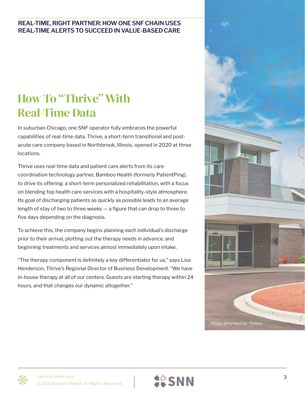## How To "Thrive" With Real-Time Data

In suburban Chicago, one SNF operator fully embraces the powerful capabilities of real-time data. Thrive, a short-term transitional and postacute care company based in Northbrook, Illinois, opened in 2020 at three locations.

Thrive uses real-time data and patient care alerts from its care coordination technology partner, Bamboo Health (formerly PatientPing), to drive its offering: a short-term personalized rehabilitation, with a focus on blending top health care services with a hospitality-style atmosphere. Its goal of discharging patients as quickly as possible leads to an average length of stay of two to three weeks — a figure that can drop to three to five days depending on the diagnosis.

To achieve this, the company begins planning each individual's discharge prior to their arrival, plotting out the therapy needs in advance, and beginning treatments and services almost immediately upon intake.

"The therapy component is definitely a key differentiator for us," says Lisa Henderson, Thrive's Regional Director of Business Development. "We have in-house therapy at all of our centers. Guests are starting therapy within 24 hours, and that changes our dynamic altogether."





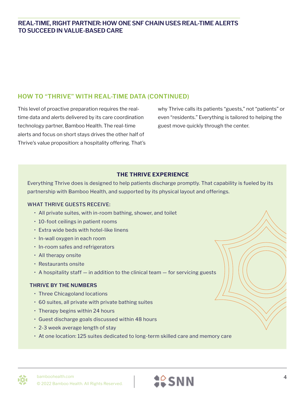#### **HOW TO "THRIVE" WITH REAL-TIME DATA (CONTINUED)**

This level of proactive preparation requires the realtime data and alerts delivered by its care coordination technology partner, Bamboo Health. The real-time alerts and focus on short stays drives the other half of Thrive's value proposition: a hospitality offering. That's why Thrive calls its patients "guests," not "patients" or even "residents." Everything is tailored to helping the guest move quickly through the center.

#### **THE THRIVE EXPERIENCE**

Everything Thrive does is designed to help patients discharge promptly. That capability is fueled by its partnership with Bamboo Health, and supported by its physical layout and offerings.

#### WHAT THRIVE GUESTS RECEIVE:

- All private suites, with in-room bathing, shower, and toilet
- 10-foot ceilings in patient rooms
- Extra wide beds with hotel-like linens
- In-wall oxygen in each room
- In-room safes and refrigerators
- All therapy onsite
- Restaurants onsite
- A hospitality staff in addition to the clinical team for servicing guests

#### **THRIVE BY THE NUMBERS**

- Three Chicagoland locations
- 60 suites, all private with private bathing suites
- Therapy begins within 24 hours
- Guest discharge goals discussed within 48 hours
- 2-3 week average length of stay
- At one location: 125 suites dedicated to long-term skilled care and memory care

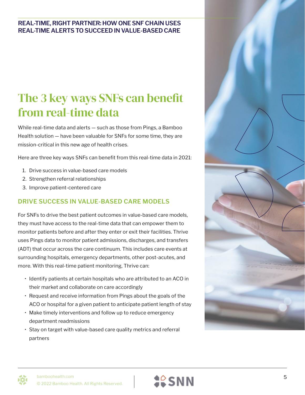### The 3 key ways SNFs can benefit from real-time data

While real-time data and alerts — such as those from Pings, a Bamboo Health solution — have been valuable for SNFs for some time, they are mission-critical in this new age of health crises.

Here are three key ways SNFs can benefit from this real-time data in 2021:

- 1. Drive success in value-based care models
- 2. Strengthen referral relationships
- 3. Improve patient-centered care

#### **DRIVE SUCCESS IN VALUE-BASED CARE MODELS**

For SNFs to drive the best patient outcomes in value-based care models, they must have access to the real-time data that can empower them to monitor patients before and after they enter or exit their facilities. Thrive uses Pings data to monitor patient admissions, discharges, and transfers (ADT) that occur across the care continuum. This includes care events at surrounding hospitals, emergency departments, other post-acutes, and more. With this real-time patient monitoring, Thrive can:

- Identify patients at certain hospitals who are attributed to an ACO in their market and collaborate on care accordingly
- Request and receive information from Pings about the goals of the ACO or hospital for a given patient to anticipate patient length of stay
- Make timely interventions and follow up to reduce emergency department readmissions
- Stay on target with value-based care quality metrics and referral partners





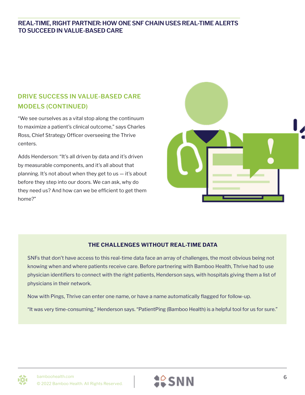#### **DRIVE SUCCESS IN VALUE-BASED CARE MODELS (CONTINUED)**

"We see ourselves as a vital stop along the continuum to maximize a patient's clinical outcome," says Charles Ross, Chief Strategy Officer overseeing the Thrive centers.

Adds Henderson: "It's all driven by data and it's driven by measurable components, and it's all about that planning. It's not about when they get to us — it's about before they step into our doors. We can ask, why do they need us? And how can we be efficient to get them home?"



#### **THE CHALLENGES WITHOUT REAL-TIME DATA**

SNFs that don't have access to this real-time data face an array of challenges, the most obvious being not knowing when and where patients receive care. Before partnering with Bamboo Health, Thrive had to use physician identifiers to connect with the right patients, Henderson says, with hospitals giving them a list of physicians in their network.

Now with Pings, Thrive can enter one name, or have a name automatically flagged for follow-up.

"It was very time-consuming," Henderson says. "PatientPing (Bamboo Health) is a helpful tool for us for sure."



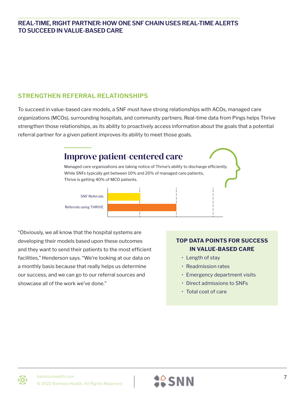#### **STRENGTHEN REFERRAL RELATIONSHIPS**

To succeed in value-based care models, a SNF must have strong relationships with ACOs, managed care organizations (MCOs), surrounding hospitals, and community partners. Real-time data from Pings helps Thrive strengthen those relationships, as its ability to proactively access information about the goals that a potential referral partner for a given patient improves its ability to meet those goals.



"Obviously, we all know that the hospital systems are developing their models based upon these outcomes and they want to send their patients to the most efficient facilities," Henderson says. "We're looking at our data on a monthly basis because that really helps us determine our success, and we can go to our referral sources and showcase all of the work we've done."

#### **TOP DATA POINTS FOR SUCCESS IN VALUE-BASED CARE**

- Length of stay
- Readmission rates
- Emergency department visits
- Direct admissions to SNFs
- Total cost of care



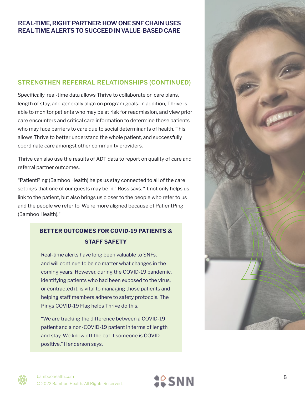#### **STRENGTHEN REFERRAL RELATIONSHIPS (CONTINUED)**

Specifically, real-time data allows Thrive to collaborate on care plans, length of stay, and generally align on program goals. In addition, Thrive is able to monitor patients who may be at risk for readmission, and view prior care encounters and critical care information to determine those patients who may face barriers to care due to social determinants of health. This allows Thrive to better understand the whole patient, and successfully coordinate care amongst other community providers.

Thrive can also use the results of ADT data to report on quality of care and referral partner outcomes.

"PatientPing (Bamboo Health) helps us stay connected to all of the care settings that one of our guests may be in," Ross says. "It not only helps us link to the patient, but also brings us closer to the people who refer to us and the people we refer to. We're more aligned because of PatientPing (Bamboo Health)."

#### **BETTER OUTCOMES FOR COVID-19 PATIENTS & STAFF SAFETY**

Real-time alerts have long been valuable to SNFs, and will continue to be no matter what changes in the coming years. However, during the COVID-19 pandemic, identifying patients who had been exposed to the virus, or contracted it, is vital to managing those patients and helping staff members adhere to safety protocols. The Pings COVID-19 Flag helps Thrive do this.

"We are tracking the difference between a COVID-19 patient and a non-COVID-19 patient in terms of length and stay. We know off the bat if someone is COVIDpositive," Henderson says.



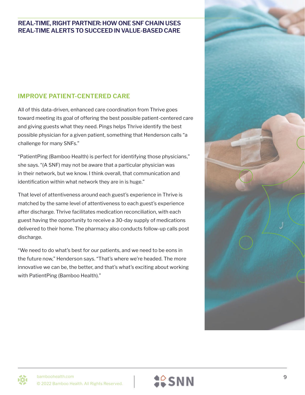#### **IMPROVE PATIENT-CENTERED CARE**

All of this data-driven, enhanced care coordination from Thrive goes toward meeting its goal of offering the best possible patient-centered care and giving guests what they need. Pings helps Thrive identify the best possible physician for a given patient, something that Henderson calls "a challenge for many SNFs."

"PatientPing (Bamboo Health) is perfect for identifying those physicians," she says. "(A SNF) may not be aware that a particular physician was in their network, but we know. I think overall, that communication and identification within what network they are in is huge."

That level of attentiveness around each guest's experience in Thrive is matched by the same level of attentiveness to each guest's experience after discharge. Thrive facilitates medication reconciliation, with each guest having the opportunity to receive a 30-day supply of medications delivered to their home. The pharmacy also conducts follow-up calls post discharge.

"We need to do what's best for our patients, and we need to be eons in the future now," Henderson says. "That's where we're headed. The more innovative we can be, the better, and that's what's exciting about working with PatientPing (Bamboo Health)."